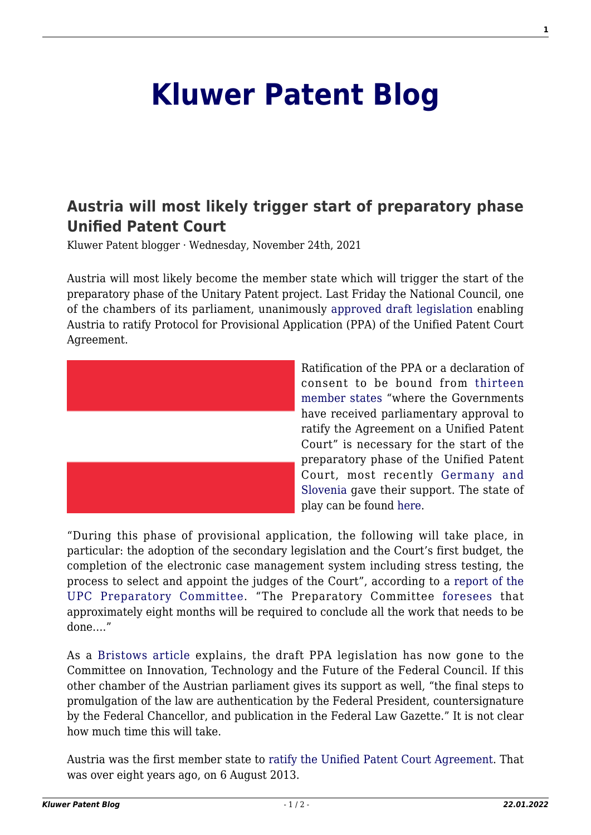## **[Kluwer Patent Blog](http://patentblog.kluweriplaw.com/)**

## **[Austria will most likely trigger start of preparatory phase](http://patentblog.kluweriplaw.com/2021/11/24/austria-will-most-likely-trigger-start-of-preparatory-phase-unified-patent-court/) [Unified Patent Court](http://patentblog.kluweriplaw.com/2021/11/24/austria-will-most-likely-trigger-start-of-preparatory-phase-unified-patent-court/)**

Kluwer Patent blogger · Wednesday, November 24th, 2021

Austria will most likely become the member state which will trigger the start of the preparatory phase of the Unitary Patent project. Last Friday the National Council, one of the chambers of its parliament, unanimously [approved draft legislation](https://www.parlament.gv.at/PAKT/PR/JAHR_2021/PK1304/#XXVII_I_01027) enabling Austria to ratify Protocol for Provisional Application (PPA) of the Unified Patent Court Agreement.



Ratification of the PPA or a declaration of consent to be bound from [thirteen](https://www.unified-patent-court.org/sites/default/files/Protocol_to_the_Agreement_on_Unified_Patent_Court_on_provisional_application.pdf) [member states](https://www.unified-patent-court.org/sites/default/files/Protocol_to_the_Agreement_on_Unified_Patent_Court_on_provisional_application.pdf) "where the Governments have received parliamentary approval to ratify the Agreement on a Unified Patent Court" is necessary for the start of the preparatory phase of the Unified Patent Court, most recently [Germany and](http://patentblog.kluweriplaw.com/2021/10/19/slovenia-ratifies-ppa-and-unifed-patent-court-agreement/) [Slovenia](http://patentblog.kluweriplaw.com/2021/10/19/slovenia-ratifies-ppa-and-unifed-patent-court-agreement/) gave their support. The state of play can be found [here](https://www.consilium.europa.eu/en/documents-publications/treaties-agreements/agreement/?id=2015056).

"During this phase of provisional application, the following will take place, in particular: the adoption of the secondary legislation and the Court's first budget, the completion of the electronic case management system including stress testing, the process to select and appoint the judges of the Court", according to a [report of the](https://www.unified-patent-court.org/news/slovenia-ratifies-protocol-provisional-application-and-upc-agreement) [UPC Preparatory Committee.](https://www.unified-patent-court.org/news/slovenia-ratifies-protocol-provisional-application-and-upc-agreement) "The Preparatory Committee [foresees](https://www.unified-patent-court.org/news/what-decision-german-federal-constitutional-court-means-unified-patent-courts-timeplan) that approximately eight months will be required to conclude all the work that needs to be done…."

As a [Bristows article](https://www.bristowsupc.com/latest-news/bill-for-austria-to-ratify-upc-agreement-s-ppa-continues-to-progress-in-parliament/) explains, the draft PPA legislation has now gone to the Committee on Innovation, Technology and the Future of the Federal Council. If this other chamber of the Austrian parliament gives its support as well, "the final steps to promulgation of the law are authentication by the Federal President, countersignature by the Federal Chancellor, and publication in the Federal Law Gazette." It is not clear how much time this will take.

Austria was the first member state to [ratify the Unified Patent Court Agreement.](https://www.consilium.europa.eu/en/documents-publications/treaties-agreements/agreement/?id=2013001&DocLanguage=en) That was over eight years ago, on 6 August 2013.